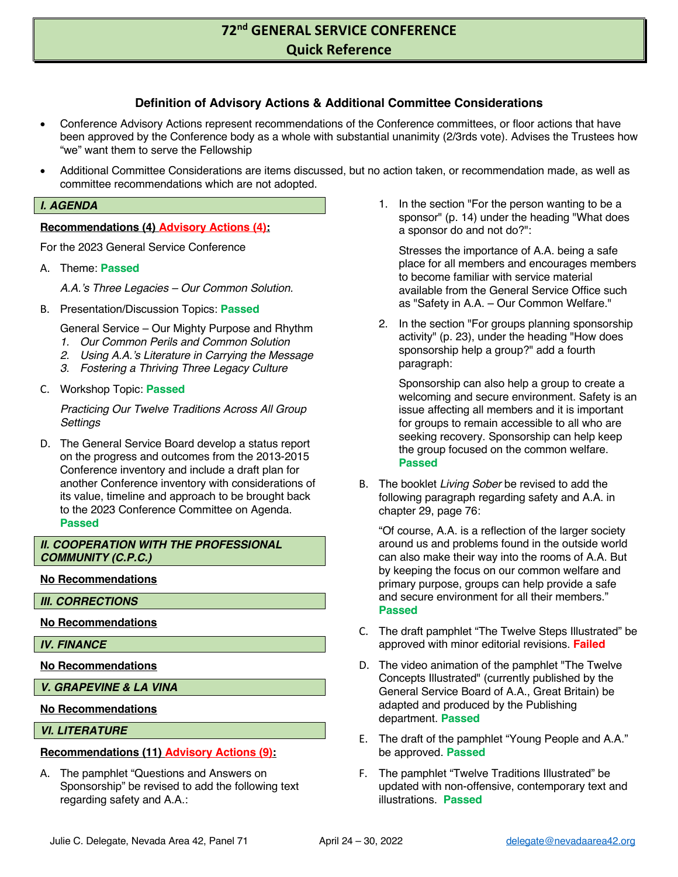## **Definition of Advisory Actions & Additional Committee Considerations**

- Conference Advisory Actions represent recommendations of the Conference committees, or floor actions that have been approved by the Conference body as a whole with substantial unanimity (2/3rds vote). Advises the Trustees how "we" want them to serve the Fellowship
- Additional Committee Considerations are items discussed, but no action taken, or recommendation made, as well as committee recommendations which are not adopted.

### *I. AGENDA*

### **Recommendations (4) Advisory Actions (4):**

For the 2023 General Service Conference

A. Theme: **Passed**

*A.A.'s Three Legacies – Our Common Solution.*

B. Presentation/Discussion Topics: **Passed**

General Service – Our Mighty Purpose and Rhythm

- *1. Our Common Perils and Common Solution*
- *2. Using A.A.'s Literature in Carrying the Message*
- *3. Fostering a Thriving Three Legacy Culture*
- C. Workshop Topic: **Passed**

*Practicing Our Twelve Traditions Across All Group Settings*

D. The General Service Board develop a status report on the progress and outcomes from the 2013-2015 Conference inventory and include a draft plan for another Conference inventory with considerations of its value, timeline and approach to be brought back to the 2023 Conference Committee on Agenda. **Passed**

## *II. COOPERATION WITH THE PROFESSIONAL COMMUNITY (C.P.C.)*

### **No Recommendations**

*III. CORRECTIONS*

### **No Recommendations**

*IV. FINANCE*

**No Recommendations**

*V. GRAPEVINE & LA VINA*

### **No Recommendations**

### *VI. LITERATURE*

### **Recommendations (11) Advisory Actions (9):**

A. The pamphlet "Questions and Answers on Sponsorship" be revised to add the following text regarding safety and A.A.:

1. In the section "For the person wanting to be a sponsor" (p. 14) under the heading "What does a sponsor do and not do?":

Stresses the importance of A.A. being a safe place for all members and encourages members to become familiar with service material available from the General Service Office such as "Safety in A.A. – Our Common Welfare."

2. In the section "For groups planning sponsorship activity" (p. 23), under the heading "How does sponsorship help a group?" add a fourth paragraph:

Sponsorship can also help a group to create a welcoming and secure environment. Safety is an issue affecting all members and it is important for groups to remain accessible to all who are seeking recovery. Sponsorship can help keep the group focused on the common welfare. **Passed**

B. The booklet *Living Sober* be revised to add the following paragraph regarding safety and A.A. in chapter 29, page 76:

"Of course, A.A. is a reflection of the larger society around us and problems found in the outside world can also make their way into the rooms of A.A. But by keeping the focus on our common welfare and primary purpose, groups can help provide a safe and secure environment for all their members." **Passed**

- C. The draft pamphlet "The Twelve Steps Illustrated" be approved with minor editorial revisions. **Failed**
- D. The video animation of the pamphlet "The Twelve Concepts Illustrated" (currently published by the General Service Board of A.A., Great Britain) be adapted and produced by the Publishing department. **Passed**
- E. The draft of the pamphlet "Young People and A.A." be approved. **Passed**
- F. The pamphlet "Twelve Traditions Illustrated" be updated with non-offensive, contemporary text and illustrations. **Passed**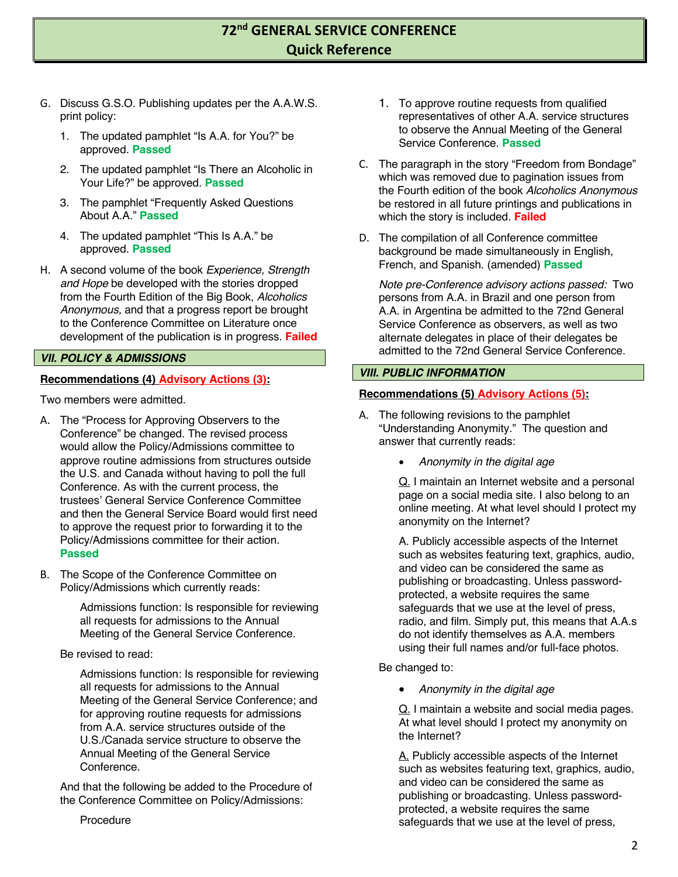- G. Discuss G.S.O. Publishing updates per the A.A.W.S. print policy:
	- 1. The updated pamphlet "Is A.A. for You?" be approved. **Passed**
	- 2. The updated pamphlet "Is There an Alcoholic in Your Life?" be approved. **Passed**
	- 3. The pamphlet "Frequently Asked Questions About A.A." **Passed**
	- 4. The updated pamphlet "This Is A.A." be approved. **Passed**
- H. A second volume of the book *Experience, Strength and Hope* be developed with the stories dropped from the Fourth Edition of the Big Book, *Alcoholics Anonymous,* and that a progress report be brought to the Conference Committee on Literature once development of the publication is in progress. **Failed**

### *VII. POLICY & ADMISSIONS*

## **Recommendations (4) Advisory Actions (3):**

Two members were admitted.

- A. The "Process for Approving Observers to the Conference" be changed. The revised process would allow the Policy/Admissions committee to approve routine admissions from structures outside the U.S. and Canada without having to poll the full Conference. As with the current process, the trustees' General Service Conference Committee and then the General Service Board would first need to approve the request prior to forwarding it to the Policy/Admissions committee for their action. **Passed**
- B. The Scope of the Conference Committee on Policy/Admissions which currently reads:

Admissions function: Is responsible for reviewing all requests for admissions to the Annual Meeting of the General Service Conference.

### Be revised to read:

Admissions function: Is responsible for reviewing all requests for admissions to the Annual Meeting of the General Service Conference; and for approving routine requests for admissions from A.A. service structures outside of the U.S./Canada service structure to observe the Annual Meeting of the General Service Conference.

And that the following be added to the Procedure of the Conference Committee on Policy/Admissions:

Procedure

- 1. To approve routine requests from qualified representatives of other A.A. service structures to observe the Annual Meeting of the General Service Conference. **Passed**
- C. The paragraph in the story "Freedom from Bondage" which was removed due to pagination issues from the Fourth edition of the book *Alcoholics Anonymous* be restored in all future printings and publications in which the story is included. **Failed**
- D. The compilation of all Conference committee background be made simultaneously in English, French, and Spanish. (amended) **Passed**

*Note pre-Conference advisory actions passed:* Two persons from A.A. in Brazil and one person from A.A. in Argentina be admitted to the 72nd General Service Conference as observers, as well as two alternate delegates in place of their delegates be admitted to the 72nd General Service Conference.

### *VIII. PUBLIC INFORMATION*

### **Recommendations (5) Advisory Actions (5):**

- A. The following revisions to the pamphlet "Understanding Anonymity." The question and answer that currently reads:
	- *Anonymity in the digital age*

Q. I maintain an Internet website and a personal page on a social media site. I also belong to an online meeting. At what level should I protect my anonymity on the Internet?

A. Publicly accessible aspects of the Internet such as websites featuring text, graphics, audio, and video can be considered the same as publishing or broadcasting. Unless passwordprotected, a website requires the same safeguards that we use at the level of press, radio, and film. Simply put, this means that A.A.s do not identify themselves as A.A. members using their full names and/or full-face photos.

Be changed to:

• *Anonymity in the digital age*

Q. I maintain a website and social media pages. At what level should I protect my anonymity on the Internet?

A. Publicly accessible aspects of the Internet such as websites featuring text, graphics, audio, and video can be considered the same as publishing or broadcasting. Unless passwordprotected, a website requires the same safeguards that we use at the level of press,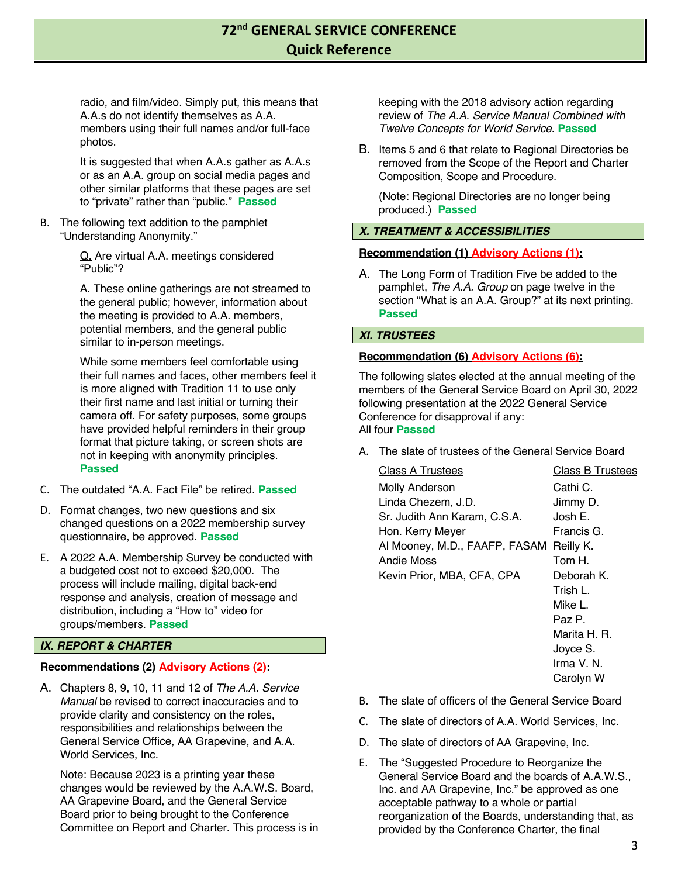radio, and film/video. Simply put, this means that A.A.s do not identify themselves as A.A. members using their full names and/or full-face photos.

It is suggested that when A.A.s gather as A.A.s or as an A.A. group on social media pages and other similar platforms that these pages are set to "private" rather than "public." **Passed**

B. The following text addition to the pamphlet "Understanding Anonymity."

> Q. Are virtual A.A. meetings considered "Public"?

A. These online gatherings are not streamed to the general public; however, information about the meeting is provided to A.A. members, potential members, and the general public similar to in-person meetings.

While some members feel comfortable using their full names and faces, other members feel it is more aligned with Tradition 11 to use only their first name and last initial or turning their camera off. For safety purposes, some groups have provided helpful reminders in their group format that picture taking, or screen shots are not in keeping with anonymity principles. **Passed**

- C. The outdated "A.A. Fact File" be retired. **Passed**
- D. Format changes, two new questions and six changed questions on a 2022 membership survey questionnaire, be approved. **Passed**
- E. A 2022 A.A. Membership Survey be conducted with a budgeted cost not to exceed \$20,000. The process will include mailing, digital back-end response and analysis, creation of message and distribution, including a "How to" video for groups/members. **Passed**

## *IX. REPORT & CHARTER*

### **Recommendations (2) Advisory Actions (2):**

A. Chapters 8, 9, 10, 11 and 12 of *The A.A. Service Manual* be revised to correct inaccuracies and to provide clarity and consistency on the roles, responsibilities and relationships between the General Service Office, AA Grapevine, and A.A. World Services, Inc.

Note: Because 2023 is a printing year these changes would be reviewed by the A.A.W.S. Board, AA Grapevine Board, and the General Service Board prior to being brought to the Conference Committee on Report and Charter. This process is in keeping with the 2018 advisory action regarding review of *The A.A. Service Manual Combined with Twelve Concepts for World Service*. **Passed**

B. Items 5 and 6 that relate to Regional Directories be removed from the Scope of the Report and Charter Composition, Scope and Procedure.

(Note: Regional Directories are no longer being produced.) **Passed**

## *X. TREATMENT & ACCESSIBILITIES*

### **Recommendation (1) Advisory Actions (1):**

A. The Long Form of Tradition Five be added to the pamphlet, *The A.A. Group* on page twelve in the section "What is an A.A. Group?" at its next printing. **Passed**

### *XI. TRUSTEES*

### **Recommendation (6) Advisory Actions (6):**

The following slates elected at the annual meeting of the members of the General Service Board on April 30, 2022 following presentation at the 2022 General Service Conference for disapproval if any: All four **Passed**

A. The slate of trustees of the General Service Board

| <b>Class A Trustees</b>       | <b>Class B Trustees</b> |
|-------------------------------|-------------------------|
| <b>Molly Anderson</b>         | Cathi C.                |
| Linda Chezem, J.D.            | Jimmy D.                |
| Sr. Judith Ann Karam, C.S.A.  | Josh E.                 |
| Hon. Kerry Meyer              | Francis G.              |
| Al Mooney, M.D., FAAFP, FASAM | Reilly K.               |
| Andie Moss                    | Tom H.                  |
| Kevin Prior, MBA, CFA, CPA    | Deborah K.              |
|                               | Trish L.                |
|                               | Mike L.                 |
|                               | Paz P.                  |
|                               | Marita H. R.            |
|                               | Joyce S.                |
|                               | Irma V. N.              |
|                               | Carolyn W               |
|                               |                         |

- B. The slate of officers of the General Service Board
- C. The slate of directors of A.A. World Services, Inc.
- D. The slate of directors of AA Grapevine, Inc.
- E. The "Suggested Procedure to Reorganize the General Service Board and the boards of A.A.W.S., Inc. and AA Grapevine, Inc." be approved as one acceptable pathway to a whole or partial reorganization of the Boards, understanding that, as provided by the Conference Charter, the final